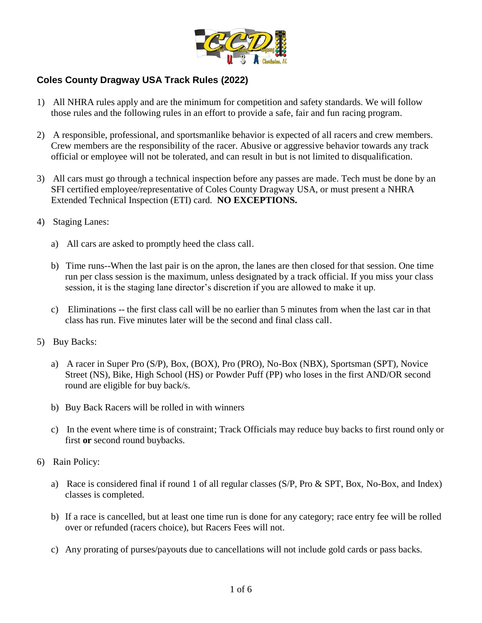

## **Coles County Dragway USA Track Rules (2022)**

- 1) All NHRA rules apply and are the minimum for competition and safety standards. We will follow those rules and the following rules in an effort to provide a safe, fair and fun racing program.
- 2) A responsible, professional, and sportsmanlike behavior is expected of all racers and crew members. Crew members are the responsibility of the racer. Abusive or aggressive behavior towards any track official or employee will not be tolerated, and can result in but is not limited to disqualification.
- 3) All cars must go through a technical inspection before any passes are made. Tech must be done by an SFI certified employee/representative of Coles County Dragway USA, or must present a NHRA Extended Technical Inspection (ETI) card. **NO EXCEPTIONS.**
- 4) Staging Lanes:
	- a) All cars are asked to promptly heed the class call.
	- b) Time runs--When the last pair is on the apron, the lanes are then closed for that session. One time run per class session is the maximum, unless designated by a track official. If you miss your class session, it is the staging lane director's discretion if you are allowed to make it up.
	- c) Eliminations -- the first class call will be no earlier than 5 minutes from when the last car in that class has run. Five minutes later will be the second and final class call.
- 5) Buy Backs:
	- a) A racer in Super Pro (S/P), Box, (BOX), Pro (PRO), No-Box (NBX), Sportsman (SPT), Novice Street (NS), Bike, High School (HS) or Powder Puff (PP) who loses in the first AND/OR second round are eligible for buy back/s.
	- b) Buy Back Racers will be rolled in with winners
	- c) In the event where time is of constraint; Track Officials may reduce buy backs to first round only or first **or** second round buybacks.
- 6) Rain Policy:
	- a) Race is considered final if round 1 of all regular classes (S/P, Pro & SPT, Box, No-Box, and Index) classes is completed.
	- b) If a race is cancelled, but at least one time run is done for any category; race entry fee will be rolled over or refunded (racers choice), but Racers Fees will not.
	- c) Any prorating of purses/payouts due to cancellations will not include gold cards or pass backs.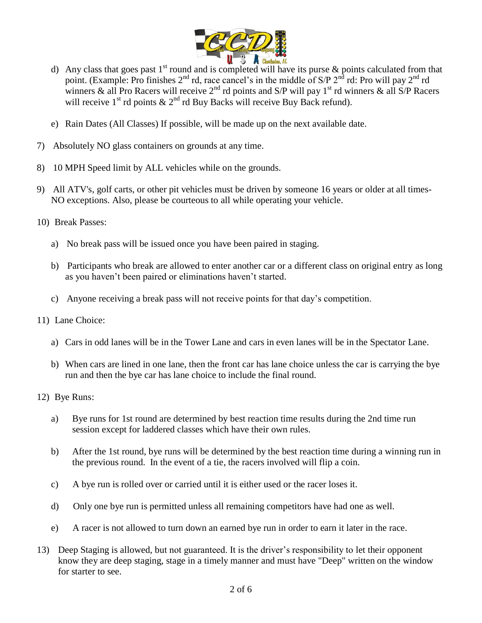

- d) Any class that goes past  $1<sup>st</sup>$  round and is completed will have its purse & points calculated from that point. (Example: Pro finishes 2<sup>nd</sup> rd, race cancel's in the middle of S/P 2<sup>nd</sup> rd: Pro will pay 2<sup>nd</sup> rd winners & all Pro Racers will receive  $2<sup>nd</sup>$  rd points and S/P will pay 1<sup>st</sup> rd winners & all S/P Racers will receive  $1^{st}$  rd points  $\& 2^{nd}$  rd Buy Backs will receive Buy Back refund).
- e) Rain Dates (All Classes) If possible, will be made up on the next available date.
- 7) Absolutely NO glass containers on grounds at any time.
- 8) 10 MPH Speed limit by ALL vehicles while on the grounds.
- 9) All ATV's, golf carts, or other pit vehicles must be driven by someone 16 years or older at all times-NO exceptions. Also, please be courteous to all while operating your vehicle.
- 10) Break Passes:
	- a) No break pass will be issued once you have been paired in staging.
	- b) Participants who break are allowed to enter another car or a different class on original entry as long as you haven't been paired or eliminations haven't started.
	- c) Anyone receiving a break pass will not receive points for that day's competition.
- 11) Lane Choice:
	- a) Cars in odd lanes will be in the Tower Lane and cars in even lanes will be in the Spectator Lane.
	- b) When cars are lined in one lane, then the front car has lane choice unless the car is carrying the bye run and then the bye car has lane choice to include the final round.
- 12) Bye Runs:
	- a) Bye runs for 1st round are determined by best reaction time results during the 2nd time run session except for laddered classes which have their own rules.
	- b) After the 1st round, bye runs will be determined by the best reaction time during a winning run in the previous round. In the event of a tie, the racers involved will flip a coin.
	- c) A bye run is rolled over or carried until it is either used or the racer loses it.
	- d) Only one bye run is permitted unless all remaining competitors have had one as well.
	- e) A racer is not allowed to turn down an earned bye run in order to earn it later in the race.
- 13) Deep Staging is allowed, but not guaranteed. It is the driver's responsibility to let their opponent know they are deep staging, stage in a timely manner and must have "Deep" written on the window for starter to see.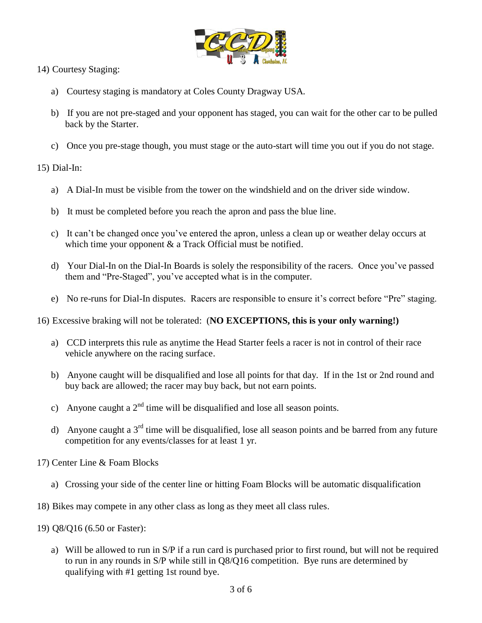

14) Courtesy Staging:

- a) Courtesy staging is mandatory at Coles County Dragway USA.
- b) If you are not pre-staged and your opponent has staged, you can wait for the other car to be pulled back by the Starter.
- c) Once you pre-stage though, you must stage or the auto-start will time you out if you do not stage.

15) Dial-In:

- a) A Dial-In must be visible from the tower on the windshield and on the driver side window.
- b) It must be completed before you reach the apron and pass the blue line.
- c) It can't be changed once you've entered the apron, unless a clean up or weather delay occurs at which time your opponent  $\&$  a Track Official must be notified.
- d) Your Dial-In on the Dial-In Boards is solely the responsibility of the racers. Once you've passed them and "Pre-Staged", you've accepted what is in the computer.
- e) No re-runs for Dial-In disputes. Racers are responsible to ensure it's correct before "Pre" staging.
- 16) Excessive braking will not be tolerated: (**NO EXCEPTIONS, this is your only warning!)**
	- a) CCD interprets this rule as anytime the Head Starter feels a racer is not in control of their race vehicle anywhere on the racing surface.
	- b) Anyone caught will be disqualified and lose all points for that day. If in the 1st or 2nd round and buy back are allowed; the racer may buy back, but not earn points.
	- c) Anyone caught a  $2<sup>nd</sup>$  time will be disqualified and lose all season points.
	- d) Anyone caught a  $3<sup>rd</sup>$  time will be disqualified, lose all season points and be barred from any future competition for any events/classes for at least 1 yr.
- 17) Center Line & Foam Blocks
	- a) Crossing your side of the center line or hitting Foam Blocks will be automatic disqualification
- 18) Bikes may compete in any other class as long as they meet all class rules.
- 19) Q8/Q16 (6.50 or Faster):
	- a) Will be allowed to run in S/P if a run card is purchased prior to first round, but will not be required to run in any rounds in S/P while still in Q8/Q16 competition. Bye runs are determined by qualifying with #1 getting 1st round bye.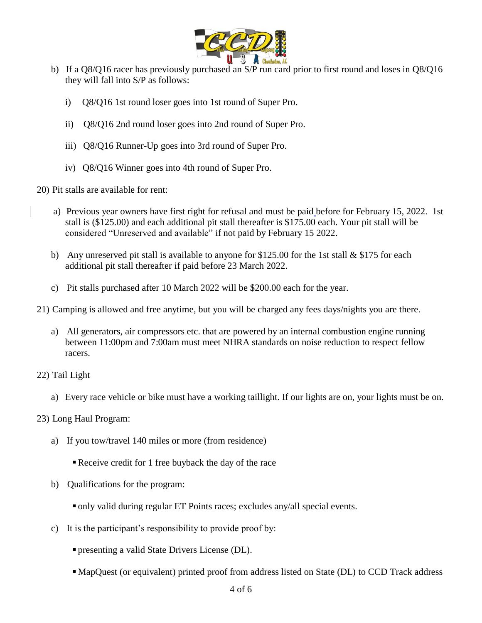

- b) If a Q8/Q16 racer has previously purchased an S/P run card prior to first round and loses in Q8/Q16 they will fall into S/P as follows:
	- i) Q8/Q16 1st round loser goes into 1st round of Super Pro.
	- ii) Q8/Q16 2nd round loser goes into 2nd round of Super Pro.
	- iii) Q8/Q16 Runner-Up goes into 3rd round of Super Pro.
	- iv) Q8/Q16 Winner goes into 4th round of Super Pro.

20) Pit stalls are available for rent:

- a) Previous year owners have first right for refusal and must be paid before for February 15, 2022. 1st stall is (\$125.00) and each additional pit stall thereafter is \$175.00 each. Your pit stall will be considered "Unreserved and available" if not paid by February 15 2022.
- b) Any unreserved pit stall is available to anyone for \$125.00 for the 1st stall & \$175 for each additional pit stall thereafter if paid before 23 March 2022.
- c) Pit stalls purchased after 10 March 2022 will be \$200.00 each for the year.
- 21) Camping is allowed and free anytime, but you will be charged any fees days/nights you are there.
	- a) All generators, air compressors etc. that are powered by an internal combustion engine running between 11:00pm and 7:00am must meet NHRA standards on noise reduction to respect fellow racers.
- 22) Tail Light
	- a) Every race vehicle or bike must have a working taillight. If our lights are on, your lights must be on.
- 23) Long Haul Program:
	- a) If you tow/travel 140 miles or more (from residence)
		- Receive credit for 1 free buyback the day of the race
	- b) Qualifications for the program:
		- only valid during regular ET Points races; excludes any/all special events.
	- c) It is the participant's responsibility to provide proof by:
		- presenting a valid State Drivers License (DL).
		- MapQuest (or equivalent) printed proof from address listed on State (DL) to CCD Track address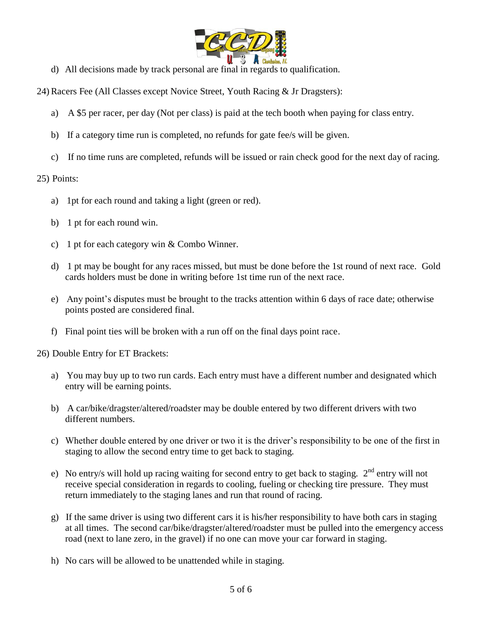

- d) All decisions made by track personal are final in regards to qualification.
- 24) Racers Fee (All Classes except Novice Street, Youth Racing & Jr Dragsters):
	- a) A \$5 per racer, per day (Not per class) is paid at the tech booth when paying for class entry.
	- b) If a category time run is completed, no refunds for gate fee/s will be given.
	- c) If no time runs are completed, refunds will be issued or rain check good for the next day of racing.

## 25) Points:

- a) 1pt for each round and taking a light (green or red).
- b) 1 pt for each round win.
- c) 1 pt for each category win & Combo Winner.
- d) 1 pt may be bought for any races missed, but must be done before the 1st round of next race. Gold cards holders must be done in writing before 1st time run of the next race.
- e) Any point's disputes must be brought to the tracks attention within 6 days of race date; otherwise points posted are considered final.
- f) Final point ties will be broken with a run off on the final days point race.

26) Double Entry for ET Brackets:

- a) You may buy up to two run cards. Each entry must have a different number and designated which entry will be earning points.
- b) A car/bike/dragster/altered/roadster may be double entered by two different drivers with two different numbers.
- c) Whether double entered by one driver or two it is the driver's responsibility to be one of the first in staging to allow the second entry time to get back to staging.
- e) No entry/s will hold up racing waiting for second entry to get back to staging.  $2<sup>nd</sup>$  entry will not receive special consideration in regards to cooling, fueling or checking tire pressure. They must return immediately to the staging lanes and run that round of racing.
- g) If the same driver is using two different cars it is his/her responsibility to have both cars in staging at all times. The second car/bike/dragster/altered/roadster must be pulled into the emergency access road (next to lane zero, in the gravel) if no one can move your car forward in staging.
- h) No cars will be allowed to be unattended while in staging.